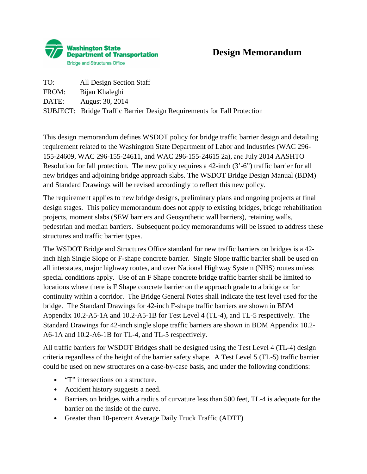

| TO:   | All Design Section Staff                                                |
|-------|-------------------------------------------------------------------------|
| FROM: | Bijan Khaleghi                                                          |
| DATE: | August 30, 2014                                                         |
|       | SUBJECT: Bridge Traffic Barrier Design Requirements for Fall Protection |

This design memorandum defines WSDOT policy for bridge traffic barrier design and detailing requirement related to the Washington State Department of Labor and Industries (WAC 296- 155-24609, WAC 296-155-24611, and WAC 296-155-24615 2a), and July 2014 AASHTO Resolution for fall protection. The new policy requires a 42-inch (3'-6") traffic barrier for all new bridges and adjoining bridge approach slabs. The WSDOT Bridge Design Manual (BDM) and Standard Drawings will be revised accordingly to reflect this new policy.

The requirement applies to new bridge designs, preliminary plans and ongoing projects at final design stages. This policy memorandum does not apply to existing bridges, bridge rehabilitation projects, moment slabs (SEW barriers and Geosynthetic wall barriers), retaining walls, pedestrian and median barriers. Subsequent policy memorandums will be issued to address these structures and traffic barrier types.

The WSDOT Bridge and Structures Office standard for new traffic barriers on bridges is a 42 inch high Single Slope or F-shape concrete barrier. Single Slope traffic barrier shall be used on all interstates, major highway routes, and over National Highway System (NHS) routes unless special conditions apply. Use of an F Shape concrete bridge traffic barrier shall be limited to locations where there is F Shape concrete barrier on the approach grade to a bridge or for continuity within a corridor. The Bridge General Notes shall indicate the test level used for the bridge. The Standard Drawings for 42-inch F-shape traffic barriers are shown in BDM Appendix 10.2-A5-1A and 10.2-A5-1B for Test Level 4 (TL-4), and TL-5 respectively. The Standard Drawings for 42-inch single slope traffic barriers are shown in BDM Appendix 10.2- A6-1A and 10.2-A6-1B for TL-4, and TL-5 respectively.

All traffic barriers for WSDOT Bridges shall be designed using the Test Level 4 (TL-4) design criteria regardless of the height of the barrier safety shape. A Test Level 5 (TL-5) traffic barrier could be used on new structures on a case-by-case basis, and under the following conditions:

- "T" intersections on a structure.
- Accident history suggests a need.
- Barriers on bridges with a radius of curvature less than 500 feet, TL-4 is adequate for the barrier on the inside of the curve.
- Greater than 10-percent Average Daily Truck Traffic (ADTT)